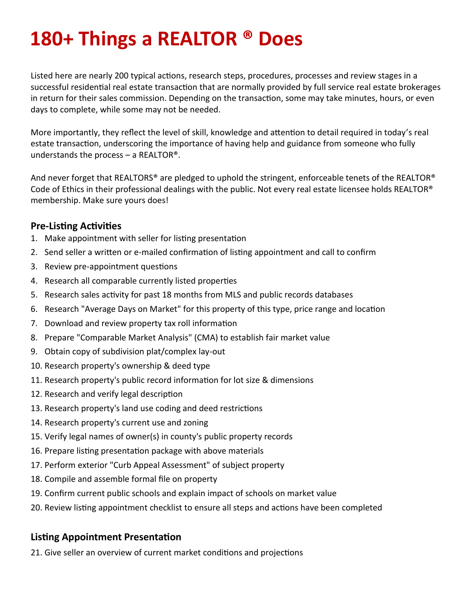# **180+ Things a REALTOR ® Does**

Listed here are nearly 200 typical actions, research steps, procedures, processes and review stages in a successful residential real estate transaction that are normally provided by full service real estate brokerages in return for their sales commission. Depending on the transaction, some may take minutes, hours, or even days to complete, while some may not be needed.

More importantly, they reflect the level of skill, knowledge and attention to detail required in today's real estate transaction, underscoring the importance of having help and guidance from someone who fully understands the process  $-$  a REALTOR®.

And never forget that REALTORS® are pledged to uphold the stringent, enforceable tenets of the REALTOR® Code of Ethics in their professional dealings with the public. Not every real estate licensee holds REALTOR® membership. Make sure yours does!

#### **Pre-Listing Activities**

- 1. Make appointment with seller for listing presentation
- 2. Send seller a written or e-mailed confirmation of listing appointment and call to confirm
- 3. Review pre-appointment questions
- 4. Research all comparable currently listed properties
- 5. Research sales activity for past 18 months from MLS and public records databases
- 6. Research "Average Days on Market" for this property of this type, price range and location
- 7. Download and review property tax roll information
- 8. Prepare "Comparable Market Analysis" (CMA) to establish fair market value
- 9. Obtain copy of subdivision plat/complex lay-out
- 10. Research property's ownership & deed type
- 11. Research property's public record information for lot size & dimensions
- 12. Research and verify legal description
- 13. Research property's land use coding and deed restrictions
- 14. Research property's current use and zoning
- 15. Verify legal names of owner(s) in county's public property records
- 16. Prepare listing presentation package with above materials
- 17. Perform exterior "Curb Appeal Assessment" of subject property
- 18. Compile and assemble formal file on property
- 19. Confirm current public schools and explain impact of schools on market value
- 20. Review listing appointment checklist to ensure all steps and actions have been completed

### **Listing Appointment Presentation**

21. Give seller an overview of current market conditions and projections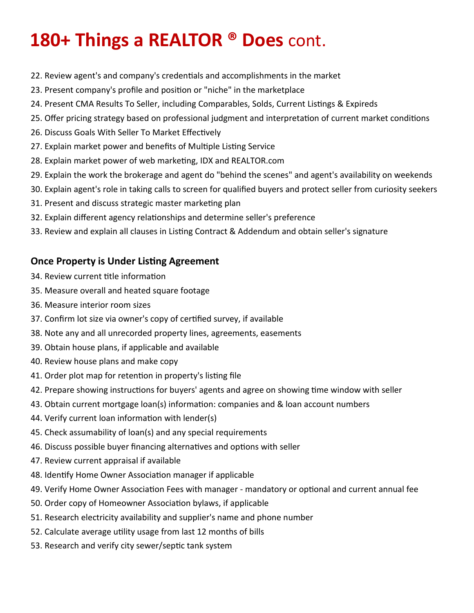- 22. Review agent's and company's credentials and accomplishments in the market
- 23. Present company's profile and position or "niche" in the marketplace
- 24. Present CMA Results To Seller, including Comparables, Solds, Current Listings & Expireds
- 25. Offer pricing strategy based on professional judgment and interpretation of current market conditions
- 26. Discuss Goals With Seller To Market Effectively
- 27. Explain market power and benefits of Multiple Listing Service
- 28. Explain market power of web marketing, IDX and REALTOR.com
- 29. Explain the work the brokerage and agent do "behind the scenes" and agent's availability on weekends
- 30. Explain agent's role in taking calls to screen for qualified buyers and protect seller from curiosity seekers
- 31. Present and discuss strategic master marketing plan
- 32. Explain different agency relationships and determine seller's preference
- 33. Review and explain all clauses in Listing Contract & Addendum and obtain seller's signature

#### **Once Property is Under Listing Agreement**

- 34. Review current title information
- 35. Measure overall and heated square footage
- 36. Measure interior room sizes
- 37. Confirm lot size via owner's copy of certified survey, if available
- 38. Note any and all unrecorded property lines, agreements, easements
- 39. Obtain house plans, if applicable and available
- 40. Review house plans and make copy
- 41. Order plot map for retention in property's listing file
- 42. Prepare showing instructions for buyers' agents and agree on showing time window with seller
- 43. Obtain current mortgage loan(s) information: companies and & loan account numbers
- 44. Verify current loan information with lender(s)
- 45. Check assumability of loan(s) and any special requirements
- 46. Discuss possible buyer financing alternatives and options with seller
- 47. Review current appraisal if available
- 48. Identify Home Owner Association manager if applicable
- 49. Verify Home Owner Association Fees with manager mandatory or optional and current annual fee
- 50. Order copy of Homeowner Association bylaws, if applicable
- 51. Research electricity availability and supplier's name and phone number
- 52. Calculate average utility usage from last 12 months of bills
- 53. Research and verify city sewer/septic tank system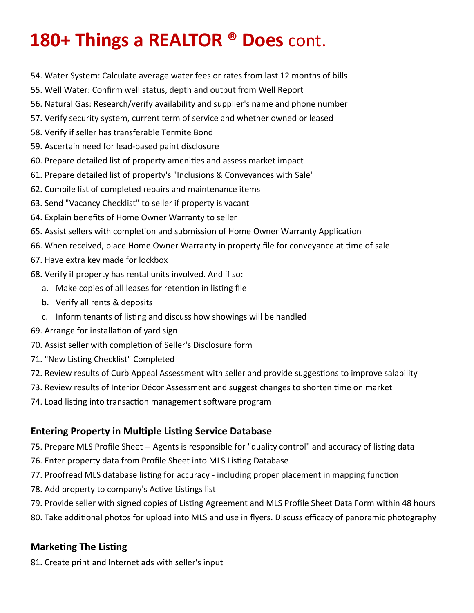- 54. Water System: Calculate average water fees or rates from last 12 months of bills
- 55. Well Water: Confirm well status, depth and output from Well Report
- 56. Natural Gas: Research/verify availability and supplier's name and phone number
- 57. Verify security system, current term of service and whether owned or leased
- 58. Verify if seller has transferable Termite Bond
- 59. Ascertain need for lead-based paint disclosure
- 60. Prepare detailed list of property amenities and assess market impact
- 61. Prepare detailed list of property's "Inclusions & Conveyances with Sale"
- 62. Compile list of completed repairs and maintenance items
- 63. Send "Vacancy Checklist" to seller if property is vacant
- 64. Explain benefits of Home Owner Warranty to seller
- 65. Assist sellers with completion and submission of Home Owner Warranty Application
- 66. When received, place Home Owner Warranty in property file for conveyance at time of sale
- 67. Have extra key made for lockbox
- 68. Verify if property has rental units involved. And if so:
	- a. Make copies of all leases for retention in listing file
	- b. Verify all rents & deposits
	- c. Inform tenants of listing and discuss how showings will be handled
- 69. Arrange for installation of yard sign
- 70. Assist seller with completion of Seller's Disclosure form
- 71. "New Listing Checklist" Completed
- 72. Review results of Curb Appeal Assessment with seller and provide suggestions to improve salability
- 73. Review results of Interior Décor Assessment and suggest changes to shorten time on market
- 74. Load listing into transaction management software program

### **Entering Property in Multiple Listing Service Database**

- 75. Prepare MLS Profile Sheet -- Agents is responsible for "quality control" and accuracy of listing data
- 76. Enter property data from Profile Sheet into MLS Listing Database
- 77. Proofread MLS database listing for accuracy including proper placement in mapping function
- 78. Add property to company's Active Listings list
- 79. Provide seller with signed copies of Listing Agreement and MLS Profile Sheet Data Form within 48 hours
- 80. Take additional photos for upload into MLS and use in flyers. Discuss efficacy of panoramic photography

### **Marketing The Listing**

81. Create print and Internet ads with seller's input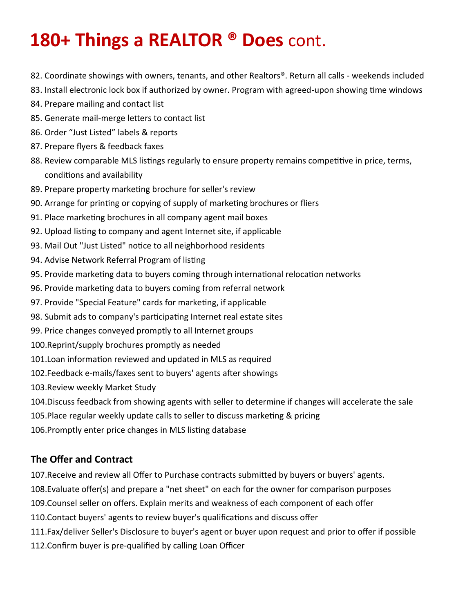- 82. Coordinate showings with owners, tenants, and other Realtors®. Return all calls weekends included
- 83. Install electronic lock box if authorized by owner. Program with agreed-upon showing time windows
- 84. Prepare mailing and contact list
- 85. Generate mail-merge letters to contact list
- 86. Order "Just Listed" labels & reports
- 87. Prepare flyers & feedback faxes
- 88. Review comparable MLS listings regularly to ensure property remains competitive in price, terms, conditions and availability
- 89. Prepare property marketing brochure for seller's review
- 90. Arrange for printing or copying of supply of marketing brochures or fliers
- 91. Place marketing brochures in all company agent mail boxes
- 92. Upload listing to company and agent Internet site, if applicable
- 93. Mail Out "Just Listed" notice to all neighborhood residents
- 94. Advise Network Referral Program of listing
- 95. Provide marketing data to buyers coming through international relocation networks
- 96. Provide marketing data to buyers coming from referral network
- 97. Provide "Special Feature" cards for marketing, if applicable
- 98. Submit ads to company's participating Internet real estate sites
- 99. Price changes conveyed promptly to all Internet groups
- 100.Reprint/supply brochures promptly as needed
- 101.Loan information reviewed and updated in MLS as required
- 102.Feedback e-mails/faxes sent to buyers' agents after showings
- 103.Review weekly Market Study
- 104.Discuss feedback from showing agents with seller to determine if changes will accelerate the sale
- 105.Place regular weekly update calls to seller to discuss marketing & pricing
- 106.Promptly enter price changes in MLS listing database

### **The Offer and Contract**

107.Receive and review all Offer to Purchase contracts submitted by buyers or buyers' agents.

- 108.Evaluate offer(s) and prepare a "net sheet" on each for the owner for comparison purposes
- 109.Counsel seller on offers. Explain merits and weakness of each component of each offer
- 110.Contact buyers' agents to review buyer's qualifications and discuss offer
- 111.Fax/deliver Seller's Disclosure to buyer's agent or buyer upon request and prior to offer if possible
- 112.Confirm buyer is pre-qualified by calling Loan Officer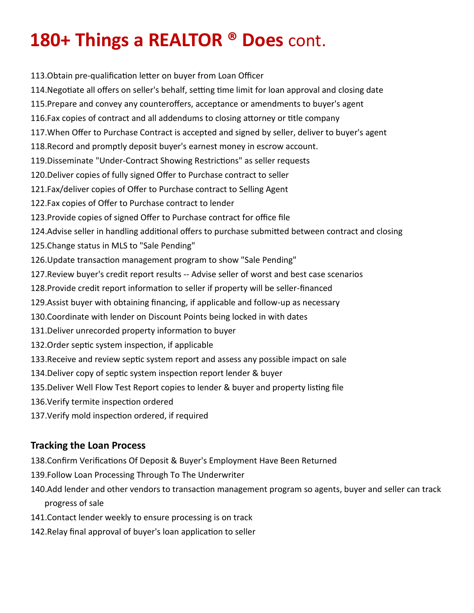113.Obtain pre-qualification letter on buyer from Loan Officer

- 114.Negotiate all offers on seller's behalf, setting time limit for loan approval and closing date
- 115.Prepare and convey any counteroffers, acceptance or amendments to buyer's agent
- 116.Fax copies of contract and all addendums to closing attorney or title company
- 117.When Offer to Purchase Contract is accepted and signed by seller, deliver to buyer's agent
- 118.Record and promptly deposit buyer's earnest money in escrow account.
- 119.Disseminate "Under-Contract Showing Restrictions" as seller requests
- 120.Deliver copies of fully signed Offer to Purchase contract to seller
- 121.Fax/deliver copies of Offer to Purchase contract to Selling Agent
- 122.Fax copies of Offer to Purchase contract to lender
- 123.Provide copies of signed Offer to Purchase contract for office file
- 124.Advise seller in handling additional offers to purchase submitted between contract and closing
- 125.Change status in MLS to "Sale Pending"
- 126.Update transaction management program to show "Sale Pending"
- 127.Review buyer's credit report results -- Advise seller of worst and best case scenarios
- 128.Provide credit report information to seller if property will be seller-financed
- 129.Assist buyer with obtaining financing, if applicable and follow-up as necessary
- 130.Coordinate with lender on Discount Points being locked in with dates
- 131.Deliver unrecorded property information to buyer
- 132.Order septic system inspection, if applicable
- 133.Receive and review septic system report and assess any possible impact on sale
- 134.Deliver copy of septic system inspection report lender & buyer
- 135.Deliver Well Flow Test Report copies to lender & buyer and property listing file
- 136.Verify termite inspection ordered
- 137.Verify mold inspection ordered, if required

### **Tracking the Loan Process**

- 138.Confirm Verifications Of Deposit & Buyer's Employment Have Been Returned
- 139.Follow Loan Processing Through To The Underwriter
- 140.Add lender and other vendors to transaction management program so agents, buyer and seller can track progress of sale
- 141.Contact lender weekly to ensure processing is on track
- 142.Relay final approval of buyer's loan application to seller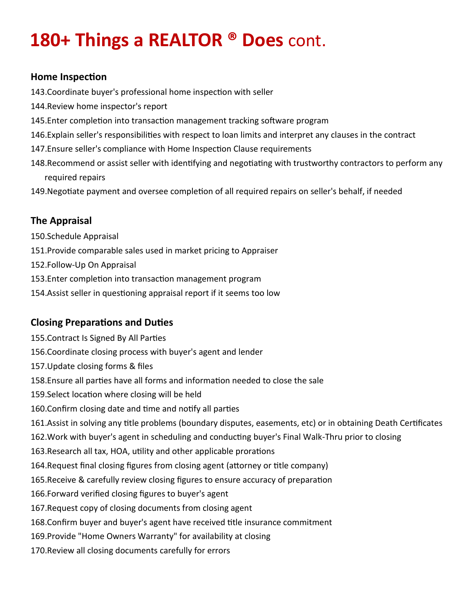#### **Home Inspection**

143.Coordinate buyer's professional home inspection with seller

- 144.Review home inspector's report
- 145.Enter completion into transaction management tracking software program
- 146.Explain seller's responsibilities with respect to loan limits and interpret any clauses in the contract
- 147.Ensure seller's compliance with Home Inspection Clause requirements
- 148.Recommend or assist seller with identifying and negotiating with trustworthy contractors to perform any required repairs
- 149.Negotiate payment and oversee completion of all required repairs on seller's behalf, if needed

### **The Appraisal**

- 150.Schedule Appraisal
- 151.Provide comparable sales used in market pricing to Appraiser
- 152.Follow-Up On Appraisal
- 153.Enter completion into transaction management program
- 154.Assist seller in questioning appraisal report if it seems too low

### **Closing Preparations and Duties**

- 155.Contract Is Signed By All Parties
- 156.Coordinate closing process with buyer's agent and lender
- 157.Update closing forms & files
- 158.Ensure all parties have all forms and information needed to close the sale
- 159.Select location where closing will be held
- 160.Confirm closing date and time and notify all parties
- 161.Assist in solving any title problems (boundary disputes, easements, etc) or in obtaining Death Certificates
- 162.Work with buyer's agent in scheduling and conducting buyer's Final Walk-Thru prior to closing
- 163.Research all tax, HOA, utility and other applicable prorations
- 164.Request final closing figures from closing agent (attorney or title company)
- 165.Receive & carefully review closing figures to ensure accuracy of preparation
- 166.Forward verified closing figures to buyer's agent
- 167.Request copy of closing documents from closing agent
- 168.Confirm buyer and buyer's agent have received title insurance commitment
- 169.Provide "Home Owners Warranty" for availability at closing
- 170.Review all closing documents carefully for errors